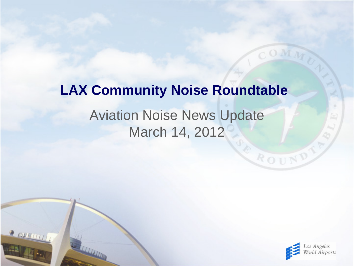# **LAX Community Noise Roundtable**

# Aviation Noise News Update March 14, 2012

 $2$  running



ROUND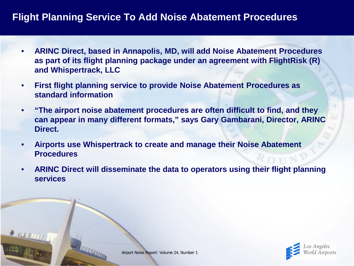### **Flight Planning Service To Add Noise Abatement Procedures**

- **ARINC Direct, based in Annapolis, MD, will add Noise Abatement Procedures as part of its flight planning package under an agreement with FlightRisk (R) and Whispertrack, LLC**
- **First flight planning service to provide Noise Abatement Procedures as standard information**
- **"The airport noise abatement procedures are often difficult to find, and they can appear in many different formats," says Gary Gambarani, Director, ARINC Direct.**
- **Airports use Whispertrack to create and manage their Noise Abatement Procedures**
- **ARINC Direct will disseminate the data to operators using their flight planning services**

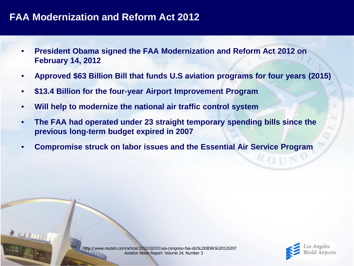### **FAA Modernization and Reform Act 2012**

- **President Obama signed the FAA Modernization and Reform Act 2012 on February 14, 2012**
- **Approved \$63 Billion Bill that funds U.S aviation programs for four years (2015)**
- **\$13.4 Billion for the four-year Airport Improvement Program**
- **Will help to modernize the national air traffic control system**
- **The FAA had operated under 23 straight temporary spending bills since the previous long-term budget expired in 2007**
- **Compromise struck on labor issues and the Essential Air Service Program**

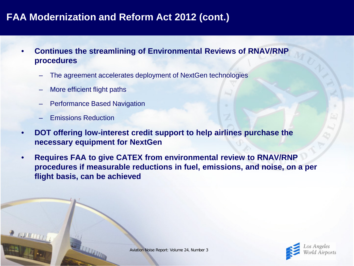- **Continues the streamlining of Environmental Reviews of RNAV/RNP procedures**
	- The agreement accelerates deployment of NextGen technologies
	- More efficient flight paths
	- Performance Based Navigation
	- Emissions Reduction
- **DOT offering low-interest credit support to help airlines purchase the necessary equipment for NextGen**
- **Requires FAA to give CATEX from environmental review to RNAV/RNP procedures if measurable reductions in fuel, emissions, and noise, on a per flight basis, can be achieved**

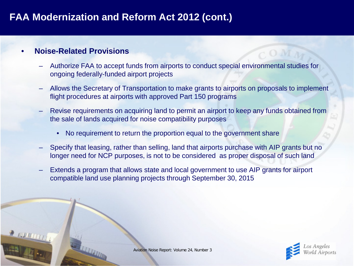#### • **Noise-Related Provisions**

- Authorize FAA to accept funds from airports to conduct special environmental studies for ongoing federally-funded airport projects
- Allows the Secretary of Transportation to make grants to airports on proposals to implement flight procedures at airports with approved Part 150 programs
- Revise requirements on acquiring land to permit an airport to keep any funds obtained from the sale of lands acquired for noise compatibility purposes
	- No requirement to return the proportion equal to the government share
- Specify that leasing, rather than selling, land that airports purchase with AIP grants but no longer need for NCP purposes, is not to be considered as proper disposal of such land
- Extends a program that allows state and local government to use AIP grants for airport compatible land use planning projects through September 30, 2015



Aviation Noise Report: Volume 24, Number 3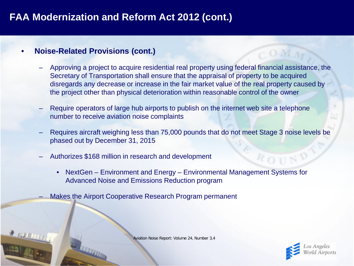#### • **Noise-Related Provisions (cont.)**

- Approving a project to acquire residential real property using federal financial assistance, the Secretary of Transportation shall ensure that the appraisal of property to be acquired disregards any decrease or increase in the fair market value of the real property caused by the project other than physical deterioration within reasonable control of the owner
- Require operators of large hub airports to publish on the internet web site a telephone number to receive aviation noise complaints
- Requires aircraft weighing less than 75,000 pounds that do not meet Stage 3 noise levels be phased out by December 31, 2015
- Authorizes \$168 million in research and development
	- NextGen Environment and Energy Environmental Management Systems for Advanced Noise and Emissions Reduction program
- Makes the Airport Cooperative Research Program permanent

Aviation Noise Report: Volume 24, Number 3,4

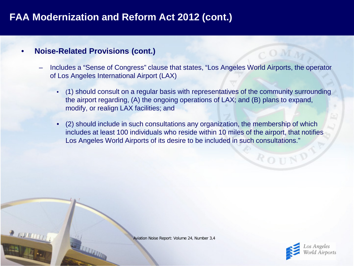#### • **Noise-Related Provisions (cont.)**

- Includes a "Sense of Congress" clause that states, "Los Angeles World Airports, the operator of Los Angeles International Airport (LAX)
	- (1) should consult on a regular basis with representatives of the community surrounding the airport regarding, (A) the ongoing operations of LAX; and (B) plans to expand, modify, or realign LAX facilities; and
	- (2) should include in such consultations any organization, the membership of which includes at least 100 individuals who reside within 10 miles of the airport, that notifies Los Angeles World Airports of its desire to be included in such consultations."

Aviation Noise Report: Volume 24, Number 3,4



ROHN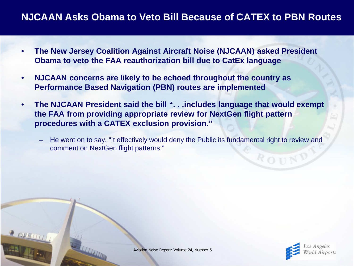### **NJCAAN Asks Obama to Veto Bill Because of CATEX to PBN Routes**

- **The New Jersey Coalition Against Aircraft Noise (NJCAAN) asked President Obama to veto the FAA reauthorization bill due to CatEx language**
- **NJCAAN concerns are likely to be echoed throughout the country as Performance Based Navigation (PBN) routes are implemented**
- **The NJCAAN President said the bill ". . .includes language that would exempt the FAA from providing appropriate review for NextGen flight pattern procedures with a CATEX exclusion provision."**
	- He went on to say, "It effectively would deny the Public its fundamental right to review and comment on NextGen flight patterns."





ROUN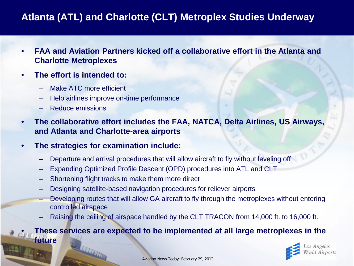# **Atlanta (ATL) and Charlotte (CLT) Metroplex Studies Underway**

- **FAA and Aviation Partners kicked off a collaborative effort in the Atlanta and Charlotte Metroplexes**
- **The effort is intended to:**
	- Make ATC more efficient
	- Help airlines improve on-time performance
	- Reduce emissions
- **The collaborative effort includes the FAA, NATCA, Delta Airlines, US Airways, and Atlanta and Charlotte-area airports**
- **The strategies for examination include:**
	- Departure and arrival procedures that will allow aircraft to fly without leveling off
	- Expanding Optimized Profile Descent (OPD) procedures into ATL and CLT
	- Shortening flight tracks to make them more direct
	- Designing satellite-based navigation procedures for reliever airports
	- Developing routes that will allow GA aircraft to fly through the metroplexes without entering controlled airspace
	- Raising the ceiling of airspace handled by the CLT TRACON from 14,000 ft. to 16,000 ft.

#### • **These services are expected to be implemented at all large metroplexes in the future**

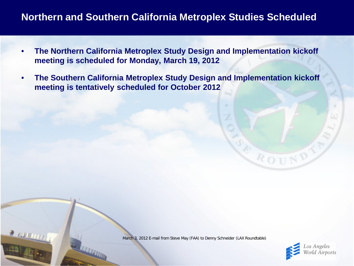### **Northern and Southern California Metroplex Studies Scheduled**

- **The Northern California Metroplex Study Design and Implementation kickoff meeting is scheduled for Monday, March 19, 2012**
- **The Southern California Metroplex Study Design and Implementation kickoff meeting is tentatively scheduled for October 2012**

March 3, 2012 E-mail from Steve May (FAA) to Denny Schneider (LAX Roundtable)

 $200000$ 



ROUN